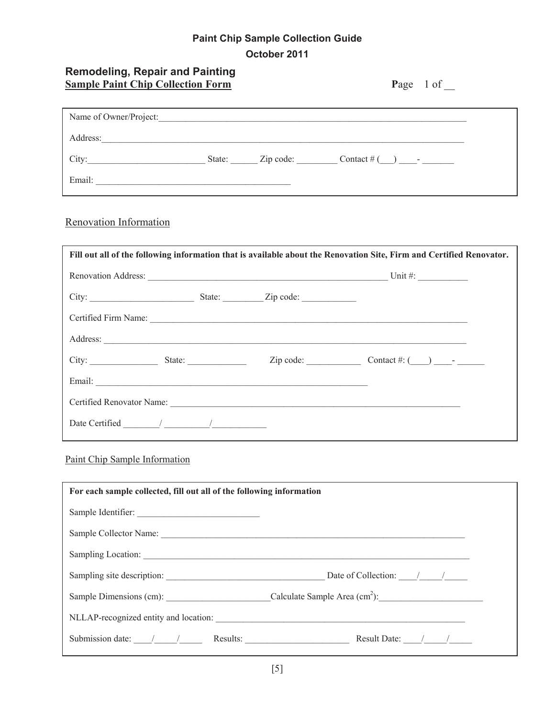## **Paint Chip Sample Collection Guide October 2011**

| <b>Remodeling, Repair and Painting</b><br><b>Sample Paint Chip Collection Form</b> | Page 1 of |
|------------------------------------------------------------------------------------|-----------|
| Name of Owner/Project:                                                             |           |
| Address:                                                                           |           |
|                                                                                    |           |
| Email:                                                                             |           |

## Renovation Information

| Fill out all of the following information that is available about the Renovation Site, Firm and Certified Renovator.                                                                                                           |  |  |                                                                                       |  |
|--------------------------------------------------------------------------------------------------------------------------------------------------------------------------------------------------------------------------------|--|--|---------------------------------------------------------------------------------------|--|
|                                                                                                                                                                                                                                |  |  |                                                                                       |  |
|                                                                                                                                                                                                                                |  |  |                                                                                       |  |
| Certified Firm Name:                                                                                                                                                                                                           |  |  |                                                                                       |  |
| Address: <u>New York: Address:</u> New York: 2008                                                                                                                                                                              |  |  |                                                                                       |  |
| City: $\frac{\text{State:}}{\text{State:}}$                                                                                                                                                                                    |  |  | $\text{Zip code:}$ $\qquad \qquad \text{Context #:} (\qquad) \qquad \text{--} \qquad$ |  |
|                                                                                                                                                                                                                                |  |  |                                                                                       |  |
| Certified Renovator Name: Campaign Contract Contract Contract Contract Contract Contract Contract Contract Contract Contract Contract Contract Contract Contract Contract Contract Contract Contract Contract Contract Contrac |  |  |                                                                                       |  |
|                                                                                                                                                                                                                                |  |  |                                                                                       |  |

## Paint Chip Sample Information

| For each sample collected, fill out all of the following information |                                                                                                                                                                                                                                                                                                                                                                                                                    |  |
|----------------------------------------------------------------------|--------------------------------------------------------------------------------------------------------------------------------------------------------------------------------------------------------------------------------------------------------------------------------------------------------------------------------------------------------------------------------------------------------------------|--|
| Sample Identifier:                                                   |                                                                                                                                                                                                                                                                                                                                                                                                                    |  |
|                                                                      |                                                                                                                                                                                                                                                                                                                                                                                                                    |  |
|                                                                      |                                                                                                                                                                                                                                                                                                                                                                                                                    |  |
|                                                                      | Sampling site description: Date of Collection: 1                                                                                                                                                                                                                                                                                                                                                                   |  |
|                                                                      | Sample Dimensions (cm): Calculate Sample Area (cm <sup>2</sup> ):                                                                                                                                                                                                                                                                                                                                                  |  |
| NLLAP-recognized entity and location:                                |                                                                                                                                                                                                                                                                                                                                                                                                                    |  |
|                                                                      | Submission date: $\frac{1}{\sqrt{1-\frac{1}{\sqrt{1-\frac{1}{\sqrt{1-\frac{1}{\sqrt{1-\frac{1}{\sqrt{1-\frac{1}{\sqrt{1-\frac{1}{\sqrt{1-\frac{1}{\sqrt{1-\frac{1}{\sqrt{1-\frac{1}{\sqrt{1-\frac{1}{\sqrt{1-\frac{1}{\sqrt{1-\frac{1}{\sqrt{1-\frac{1}{\sqrt{1-\frac{1}{\sqrt{1-\frac{1}{\sqrt{1-\frac{1}{\sqrt{1-\frac{1}{\sqrt{1-\frac{1}{\sqrt{1-\frac{1}{\sqrt{1-\frac{1}{\sqrt{1-\frac{1}{\sqrt{1-\frac{1}{$ |  |